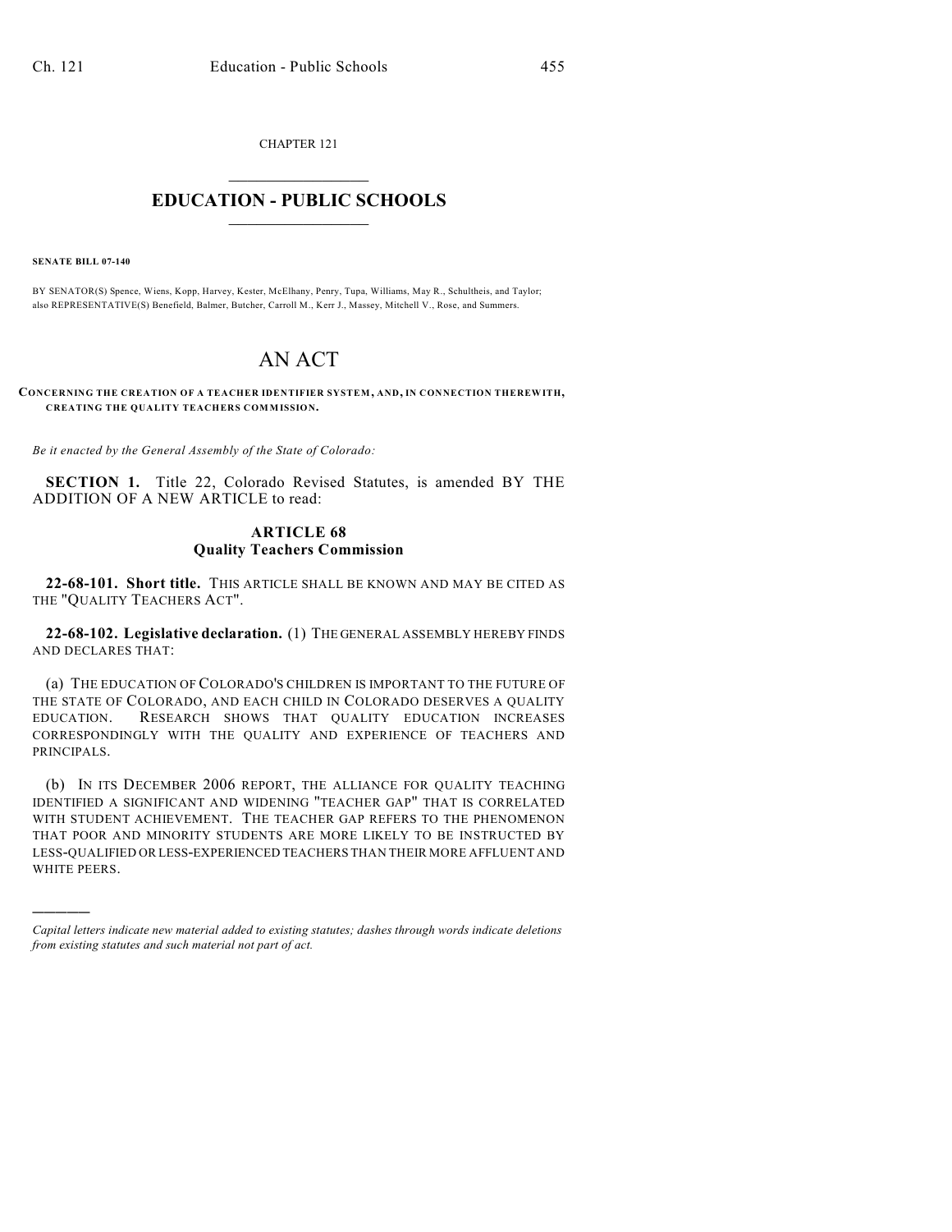CHAPTER 121  $\overline{\phantom{a}}$  . The set of the set of the set of the set of the set of the set of the set of the set of the set of the set of the set of the set of the set of the set of the set of the set of the set of the set of the set o

## **EDUCATION - PUBLIC SCHOOLS**  $\_$   $\_$   $\_$   $\_$   $\_$   $\_$   $\_$   $\_$   $\_$

**SENATE BILL 07-140**

)))))

BY SENATOR(S) Spence, Wiens, Kopp, Harvey, Kester, McElhany, Penry, Tupa, Williams, May R., Schultheis, and Taylor; also REPRESENTATIVE(S) Benefield, Balmer, Butcher, Carroll M., Kerr J., Massey, Mitchell V., Rose, and Summers.

## AN ACT

**CONCERNING THE CREATION OF A TEACHER IDENTIFIER SYSTEM, AND, IN CONNECTION THEREWITH, CREATING THE QUALITY TEACHERS COMMISSION.**

*Be it enacted by the General Assembly of the State of Colorado:*

**SECTION 1.** Title 22, Colorado Revised Statutes, is amended BY THE ADDITION OF A NEW ARTICLE to read:

## **ARTICLE 68 Quality Teachers Commission**

**22-68-101. Short title.** THIS ARTICLE SHALL BE KNOWN AND MAY BE CITED AS THE "QUALITY TEACHERS ACT".

**22-68-102. Legislative declaration.** (1) THE GENERAL ASSEMBLY HEREBY FINDS AND DECLARES THAT:

(a) THE EDUCATION OF COLORADO'S CHILDREN IS IMPORTANT TO THE FUTURE OF THE STATE OF COLORADO, AND EACH CHILD IN COLORADO DESERVES A QUALITY EDUCATION. RESEARCH SHOWS THAT QUALITY EDUCATION INCREASES CORRESPONDINGLY WITH THE QUALITY AND EXPERIENCE OF TEACHERS AND PRINCIPALS.

(b) IN ITS DECEMBER 2006 REPORT, THE ALLIANCE FOR QUALITY TEACHING IDENTIFIED A SIGNIFICANT AND WIDENING "TEACHER GAP" THAT IS CORRELATED WITH STUDENT ACHIEVEMENT. THE TEACHER GAP REFERS TO THE PHENOMENON THAT POOR AND MINORITY STUDENTS ARE MORE LIKELY TO BE INSTRUCTED BY LESS-QUALIFIED OR LESS-EXPERIENCED TEACHERS THAN THEIR MORE AFFLUENT AND WHITE PEERS.

*Capital letters indicate new material added to existing statutes; dashes through words indicate deletions from existing statutes and such material not part of act.*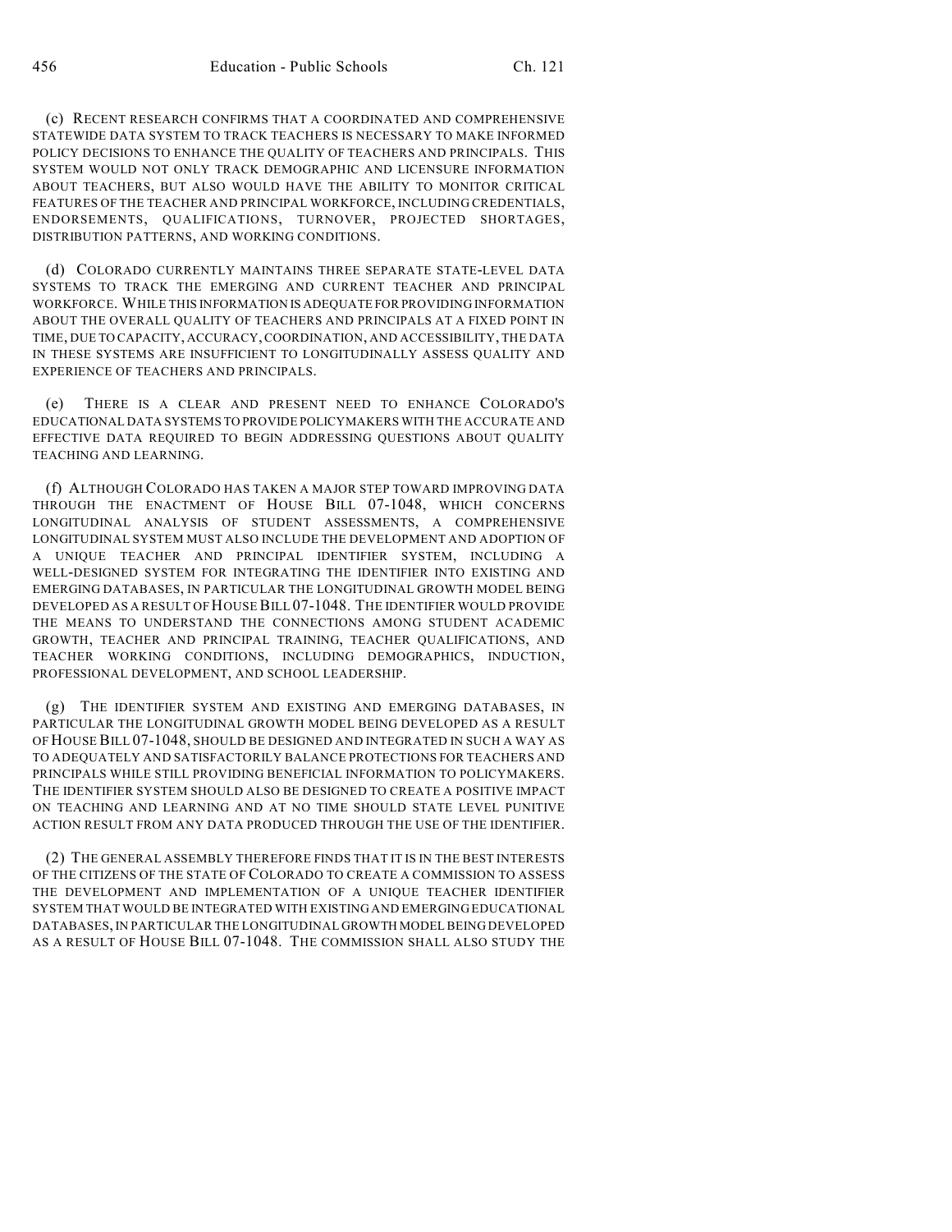(c) RECENT RESEARCH CONFIRMS THAT A COORDINATED AND COMPREHENSIVE STATEWIDE DATA SYSTEM TO TRACK TEACHERS IS NECESSARY TO MAKE INFORMED POLICY DECISIONS TO ENHANCE THE QUALITY OF TEACHERS AND PRINCIPALS. THIS SYSTEM WOULD NOT ONLY TRACK DEMOGRAPHIC AND LICENSURE INFORMATION ABOUT TEACHERS, BUT ALSO WOULD HAVE THE ABILITY TO MONITOR CRITICAL FEATURES OF THE TEACHER AND PRINCIPAL WORKFORCE, INCLUDING CREDENTIALS, ENDORSEMENTS, QUALIFICATIONS, TURNOVER, PROJECTED SHORTAGES, DISTRIBUTION PATTERNS, AND WORKING CONDITIONS.

(d) COLORADO CURRENTLY MAINTAINS THREE SEPARATE STATE-LEVEL DATA SYSTEMS TO TRACK THE EMERGING AND CURRENT TEACHER AND PRINCIPAL WORKFORCE. WHILE THIS INFORMATION IS ADEQUATE FOR PROVIDING INFORMATION ABOUT THE OVERALL QUALITY OF TEACHERS AND PRINCIPALS AT A FIXED POINT IN TIME, DUE TO CAPACITY, ACCURACY, COORDINATION, AND ACCESSIBILITY, THE DATA IN THESE SYSTEMS ARE INSUFFICIENT TO LONGITUDINALLY ASSESS QUALITY AND EXPERIENCE OF TEACHERS AND PRINCIPALS.

(e) THERE IS A CLEAR AND PRESENT NEED TO ENHANCE COLORADO'S EDUCATIONAL DATA SYSTEMS TO PROVIDE POLICYMAKERS WITH THE ACCURATE AND EFFECTIVE DATA REQUIRED TO BEGIN ADDRESSING QUESTIONS ABOUT QUALITY TEACHING AND LEARNING.

(f) ALTHOUGH COLORADO HAS TAKEN A MAJOR STEP TOWARD IMPROVING DATA THROUGH THE ENACTMENT OF HOUSE BILL 07-1048, WHICH CONCERNS LONGITUDINAL ANALYSIS OF STUDENT ASSESSMENTS, A COMPREHENSIVE LONGITUDINAL SYSTEM MUST ALSO INCLUDE THE DEVELOPMENT AND ADOPTION OF A UNIQUE TEACHER AND PRINCIPAL IDENTIFIER SYSTEM, INCLUDING A WELL-DESIGNED SYSTEM FOR INTEGRATING THE IDENTIFIER INTO EXISTING AND EMERGING DATABASES, IN PARTICULAR THE LONGITUDINAL GROWTH MODEL BEING DEVELOPED AS A RESULT OF HOUSE BILL 07-1048. THE IDENTIFIER WOULD PROVIDE THE MEANS TO UNDERSTAND THE CONNECTIONS AMONG STUDENT ACADEMIC GROWTH, TEACHER AND PRINCIPAL TRAINING, TEACHER QUALIFICATIONS, AND TEACHER WORKING CONDITIONS, INCLUDING DEMOGRAPHICS, INDUCTION, PROFESSIONAL DEVELOPMENT, AND SCHOOL LEADERSHIP.

(g) THE IDENTIFIER SYSTEM AND EXISTING AND EMERGING DATABASES, IN PARTICULAR THE LONGITUDINAL GROWTH MODEL BEING DEVELOPED AS A RESULT OF HOUSE BILL 07-1048, SHOULD BE DESIGNED AND INTEGRATED IN SUCH A WAY AS TO ADEQUATELY AND SATISFACTORILY BALANCE PROTECTIONS FOR TEACHERS AND PRINCIPALS WHILE STILL PROVIDING BENEFICIAL INFORMATION TO POLICYMAKERS. THE IDENTIFIER SYSTEM SHOULD ALSO BE DESIGNED TO CREATE A POSITIVE IMPACT ON TEACHING AND LEARNING AND AT NO TIME SHOULD STATE LEVEL PUNITIVE ACTION RESULT FROM ANY DATA PRODUCED THROUGH THE USE OF THE IDENTIFIER.

(2) THE GENERAL ASSEMBLY THEREFORE FINDS THAT IT IS IN THE BEST INTERESTS OF THE CITIZENS OF THE STATE OF COLORADO TO CREATE A COMMISSION TO ASSESS THE DEVELOPMENT AND IMPLEMENTATION OF A UNIQUE TEACHER IDENTIFIER SYSTEM THAT WOULD BE INTEGRATED WITH EXISTING AND EMERGING EDUCATIONAL DATABASES, IN PARTICULAR THE LONGITUDINAL GROWTH MODEL BEING DEVELOPED AS A RESULT OF HOUSE BILL 07-1048. THE COMMISSION SHALL ALSO STUDY THE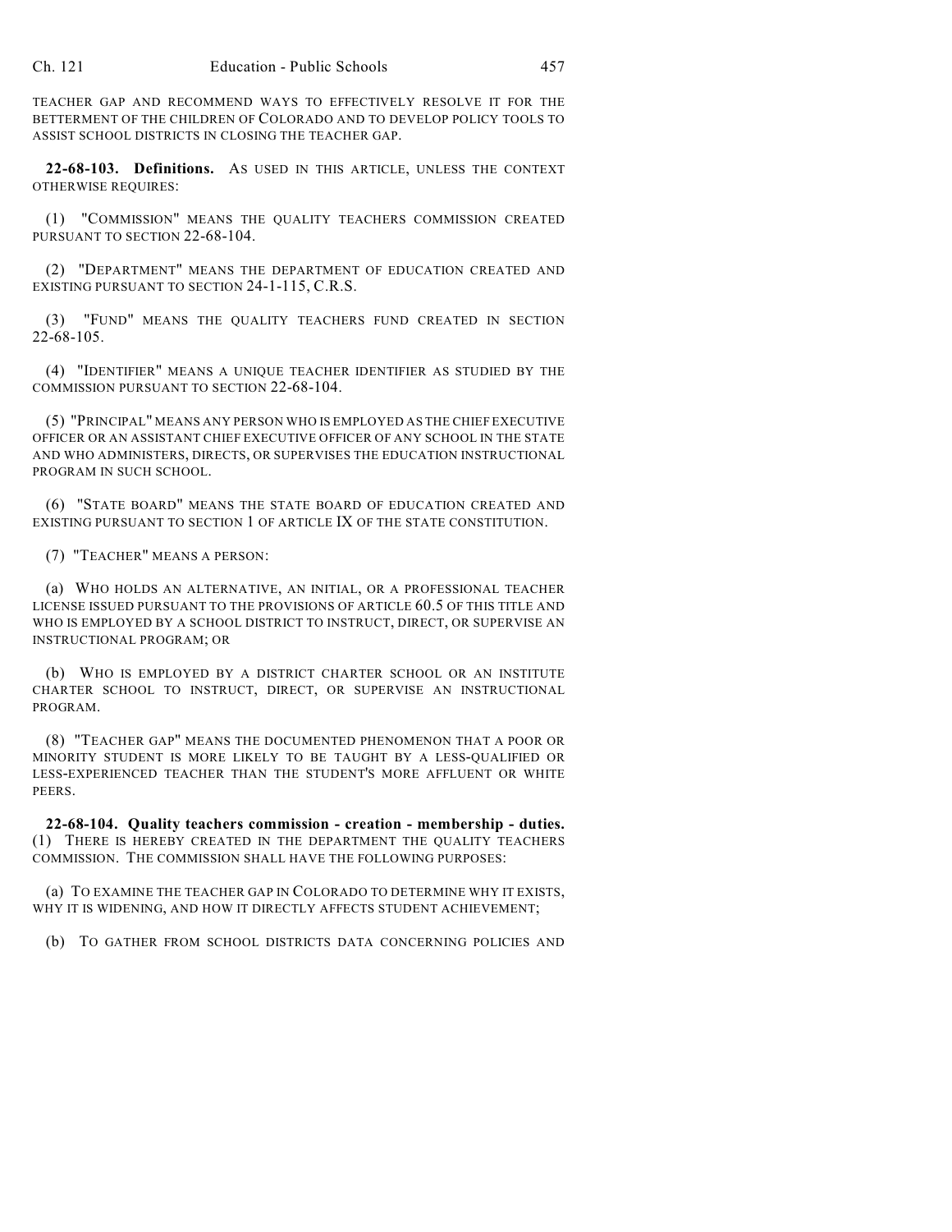TEACHER GAP AND RECOMMEND WAYS TO EFFECTIVELY RESOLVE IT FOR THE BETTERMENT OF THE CHILDREN OF COLORADO AND TO DEVELOP POLICY TOOLS TO ASSIST SCHOOL DISTRICTS IN CLOSING THE TEACHER GAP.

**22-68-103. Definitions.** AS USED IN THIS ARTICLE, UNLESS THE CONTEXT OTHERWISE REQUIRES:

(1) "COMMISSION" MEANS THE QUALITY TEACHERS COMMISSION CREATED PURSUANT TO SECTION 22-68-104.

(2) "DEPARTMENT" MEANS THE DEPARTMENT OF EDUCATION CREATED AND EXISTING PURSUANT TO SECTION 24-1-115, C.R.S.

(3) "FUND" MEANS THE QUALITY TEACHERS FUND CREATED IN SECTION 22-68-105.

(4) "IDENTIFIER" MEANS A UNIQUE TEACHER IDENTIFIER AS STUDIED BY THE COMMISSION PURSUANT TO SECTION 22-68-104.

(5) "PRINCIPAL" MEANS ANY PERSON WHO IS EMPLOYED AS THE CHIEF EXECUTIVE OFFICER OR AN ASSISTANT CHIEF EXECUTIVE OFFICER OF ANY SCHOOL IN THE STATE AND WHO ADMINISTERS, DIRECTS, OR SUPERVISES THE EDUCATION INSTRUCTIONAL PROGRAM IN SUCH SCHOOL.

(6) "STATE BOARD" MEANS THE STATE BOARD OF EDUCATION CREATED AND EXISTING PURSUANT TO SECTION 1 OF ARTICLE IX OF THE STATE CONSTITUTION.

(7) "TEACHER" MEANS A PERSON:

(a) WHO HOLDS AN ALTERNATIVE, AN INITIAL, OR A PROFESSIONAL TEACHER LICENSE ISSUED PURSUANT TO THE PROVISIONS OF ARTICLE 60.5 OF THIS TITLE AND WHO IS EMPLOYED BY A SCHOOL DISTRICT TO INSTRUCT, DIRECT, OR SUPERVISE AN INSTRUCTIONAL PROGRAM; OR

(b) WHO IS EMPLOYED BY A DISTRICT CHARTER SCHOOL OR AN INSTITUTE CHARTER SCHOOL TO INSTRUCT, DIRECT, OR SUPERVISE AN INSTRUCTIONAL PROGRAM.

(8) "TEACHER GAP" MEANS THE DOCUMENTED PHENOMENON THAT A POOR OR MINORITY STUDENT IS MORE LIKELY TO BE TAUGHT BY A LESS-QUALIFIED OR LESS-EXPERIENCED TEACHER THAN THE STUDENT'S MORE AFFLUENT OR WHITE PEERS.

**22-68-104. Quality teachers commission - creation - membership - duties.** (1) THERE IS HEREBY CREATED IN THE DEPARTMENT THE QUALITY TEACHERS COMMISSION. THE COMMISSION SHALL HAVE THE FOLLOWING PURPOSES:

(a) TO EXAMINE THE TEACHER GAP IN COLORADO TO DETERMINE WHY IT EXISTS, WHY IT IS WIDENING, AND HOW IT DIRECTLY AFFECTS STUDENT ACHIEVEMENT;

(b) TO GATHER FROM SCHOOL DISTRICTS DATA CONCERNING POLICIES AND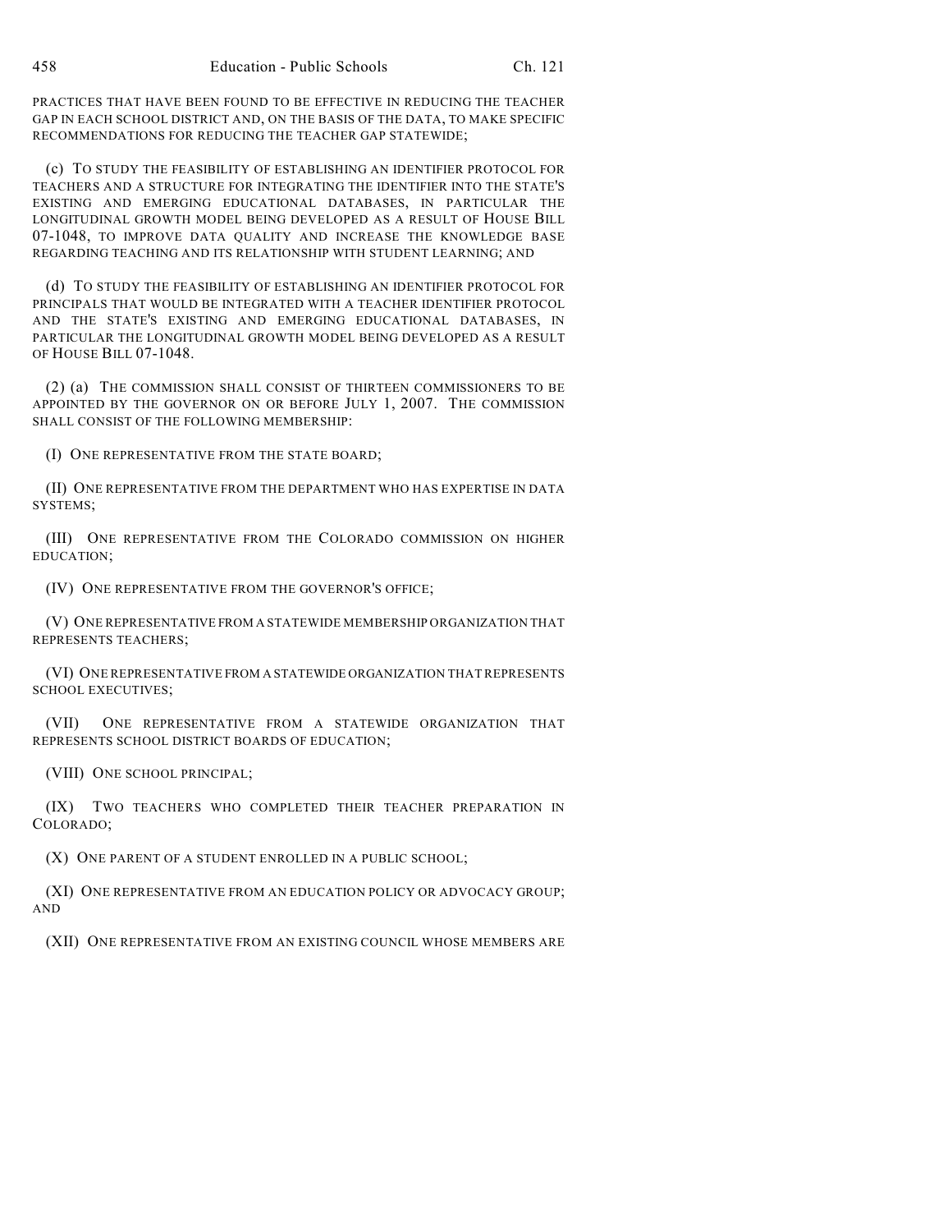PRACTICES THAT HAVE BEEN FOUND TO BE EFFECTIVE IN REDUCING THE TEACHER GAP IN EACH SCHOOL DISTRICT AND, ON THE BASIS OF THE DATA, TO MAKE SPECIFIC RECOMMENDATIONS FOR REDUCING THE TEACHER GAP STATEWIDE;

(c) TO STUDY THE FEASIBILITY OF ESTABLISHING AN IDENTIFIER PROTOCOL FOR TEACHERS AND A STRUCTURE FOR INTEGRATING THE IDENTIFIER INTO THE STATE'S EXISTING AND EMERGING EDUCATIONAL DATABASES, IN PARTICULAR THE LONGITUDINAL GROWTH MODEL BEING DEVELOPED AS A RESULT OF HOUSE BILL 07-1048, TO IMPROVE DATA QUALITY AND INCREASE THE KNOWLEDGE BASE REGARDING TEACHING AND ITS RELATIONSHIP WITH STUDENT LEARNING; AND

(d) TO STUDY THE FEASIBILITY OF ESTABLISHING AN IDENTIFIER PROTOCOL FOR PRINCIPALS THAT WOULD BE INTEGRATED WITH A TEACHER IDENTIFIER PROTOCOL AND THE STATE'S EXISTING AND EMERGING EDUCATIONAL DATABASES, IN PARTICULAR THE LONGITUDINAL GROWTH MODEL BEING DEVELOPED AS A RESULT OF HOUSE BILL 07-1048.

(2) (a) THE COMMISSION SHALL CONSIST OF THIRTEEN COMMISSIONERS TO BE APPOINTED BY THE GOVERNOR ON OR BEFORE JULY 1, 2007. THE COMMISSION SHALL CONSIST OF THE FOLLOWING MEMBERSHIP:

(I) ONE REPRESENTATIVE FROM THE STATE BOARD;

(II) ONE REPRESENTATIVE FROM THE DEPARTMENT WHO HAS EXPERTISE IN DATA SYSTEMS;

(III) ONE REPRESENTATIVE FROM THE COLORADO COMMISSION ON HIGHER EDUCATION;

(IV) ONE REPRESENTATIVE FROM THE GOVERNOR'S OFFICE;

(V) ONE REPRESENTATIVE FROM A STATEWIDE MEMBERSHIP ORGANIZATION THAT REPRESENTS TEACHERS;

(VI) ONE REPRESENTATIVE FROM A STATEWIDE ORGANIZATION THAT REPRESENTS SCHOOL EXECUTIVES;

(VII) ONE REPRESENTATIVE FROM A STATEWIDE ORGANIZATION THAT REPRESENTS SCHOOL DISTRICT BOARDS OF EDUCATION;

(VIII) ONE SCHOOL PRINCIPAL;

(IX) TWO TEACHERS WHO COMPLETED THEIR TEACHER PREPARATION IN COLORADO;

(X) ONE PARENT OF A STUDENT ENROLLED IN A PUBLIC SCHOOL;

(XI) ONE REPRESENTATIVE FROM AN EDUCATION POLICY OR ADVOCACY GROUP; AND

(XII) ONE REPRESENTATIVE FROM AN EXISTING COUNCIL WHOSE MEMBERS ARE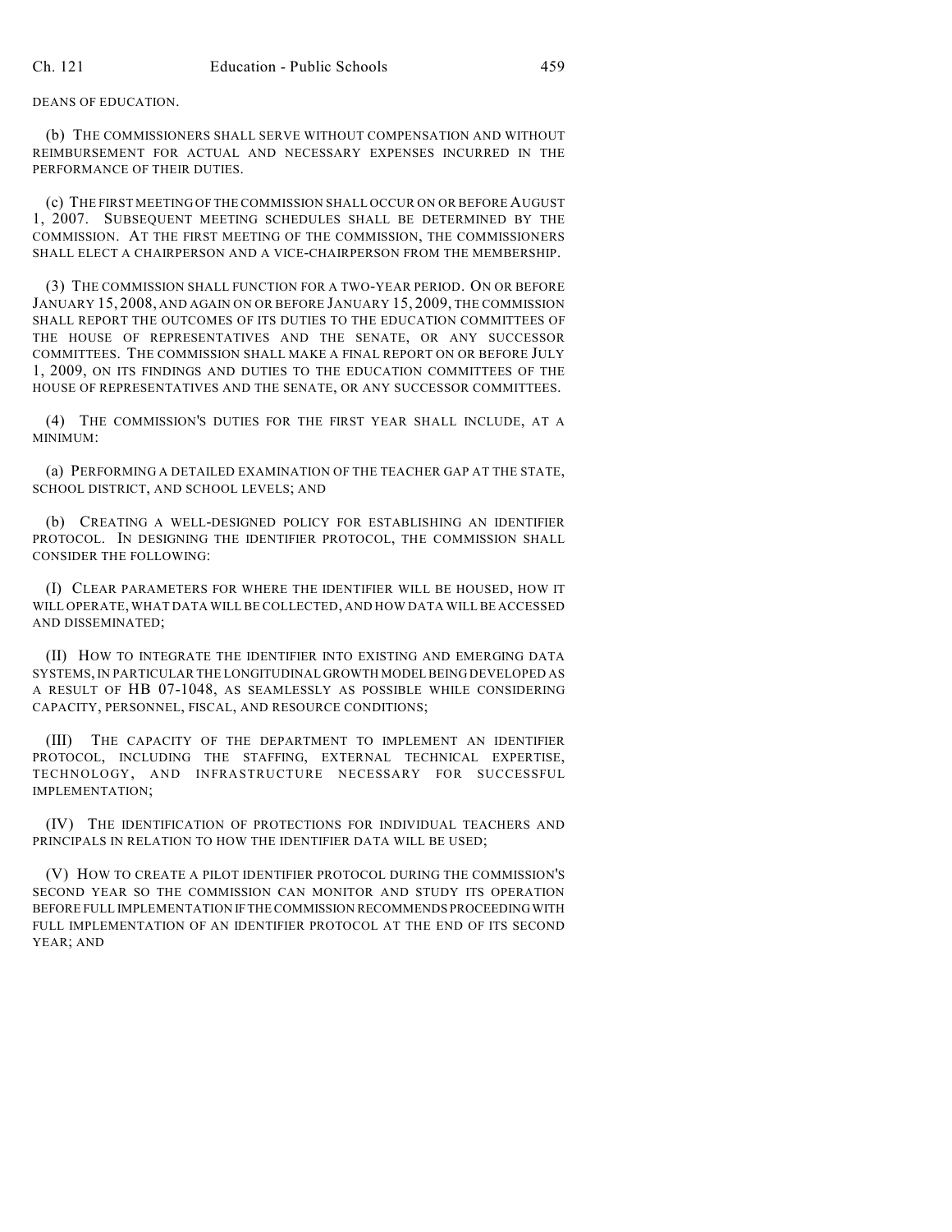DEANS OF EDUCATION.

(b) THE COMMISSIONERS SHALL SERVE WITHOUT COMPENSATION AND WITHOUT REIMBURSEMENT FOR ACTUAL AND NECESSARY EXPENSES INCURRED IN THE PERFORMANCE OF THEIR DUTIES.

(c) THE FIRST MEETING OF THE COMMISSION SHALL OCCUR ON OR BEFORE AUGUST 1, 2007. SUBSEQUENT MEETING SCHEDULES SHALL BE DETERMINED BY THE COMMISSION. AT THE FIRST MEETING OF THE COMMISSION, THE COMMISSIONERS SHALL ELECT A CHAIRPERSON AND A VICE-CHAIRPERSON FROM THE MEMBERSHIP.

(3) THE COMMISSION SHALL FUNCTION FOR A TWO-YEAR PERIOD. ON OR BEFORE JANUARY 15, 2008, AND AGAIN ON OR BEFORE JANUARY 15, 2009, THE COMMISSION SHALL REPORT THE OUTCOMES OF ITS DUTIES TO THE EDUCATION COMMITTEES OF THE HOUSE OF REPRESENTATIVES AND THE SENATE, OR ANY SUCCESSOR COMMITTEES. THE COMMISSION SHALL MAKE A FINAL REPORT ON OR BEFORE JULY 1, 2009, ON ITS FINDINGS AND DUTIES TO THE EDUCATION COMMITTEES OF THE HOUSE OF REPRESENTATIVES AND THE SENATE, OR ANY SUCCESSOR COMMITTEES.

(4) THE COMMISSION'S DUTIES FOR THE FIRST YEAR SHALL INCLUDE, AT A MINIMUM:

(a) PERFORMING A DETAILED EXAMINATION OF THE TEACHER GAP AT THE STATE, SCHOOL DISTRICT, AND SCHOOL LEVELS; AND

(b) CREATING A WELL-DESIGNED POLICY FOR ESTABLISHING AN IDENTIFIER PROTOCOL. IN DESIGNING THE IDENTIFIER PROTOCOL, THE COMMISSION SHALL CONSIDER THE FOLLOWING:

(I) CLEAR PARAMETERS FOR WHERE THE IDENTIFIER WILL BE HOUSED, HOW IT WILL OPERATE, WHAT DATA WILL BE COLLECTED, AND HOW DATA WILL BE ACCESSED AND DISSEMINATED;

(II) HOW TO INTEGRATE THE IDENTIFIER INTO EXISTING AND EMERGING DATA SYSTEMS, IN PARTICULAR THE LONGITUDINAL GROWTH MODEL BEING DEVELOPED AS A RESULT OF HB 07-1048, AS SEAMLESSLY AS POSSIBLE WHILE CONSIDERING CAPACITY, PERSONNEL, FISCAL, AND RESOURCE CONDITIONS;

(III) THE CAPACITY OF THE DEPARTMENT TO IMPLEMENT AN IDENTIFIER PROTOCOL, INCLUDING THE STAFFING, EXTERNAL TECHNICAL EXPERTISE, TECHNOLOGY, AND INFRASTRUCTURE NECESSARY FOR SUCCESSFUL IMPLEMENTATION;

(IV) THE IDENTIFICATION OF PROTECTIONS FOR INDIVIDUAL TEACHERS AND PRINCIPALS IN RELATION TO HOW THE IDENTIFIER DATA WILL BE USED;

(V) HOW TO CREATE A PILOT IDENTIFIER PROTOCOL DURING THE COMMISSION'S SECOND YEAR SO THE COMMISSION CAN MONITOR AND STUDY ITS OPERATION BEFORE FULL IMPLEMENTATION IF THE COMMISSION RECOMMENDS PROCEEDING WITH FULL IMPLEMENTATION OF AN IDENTIFIER PROTOCOL AT THE END OF ITS SECOND YEAR; AND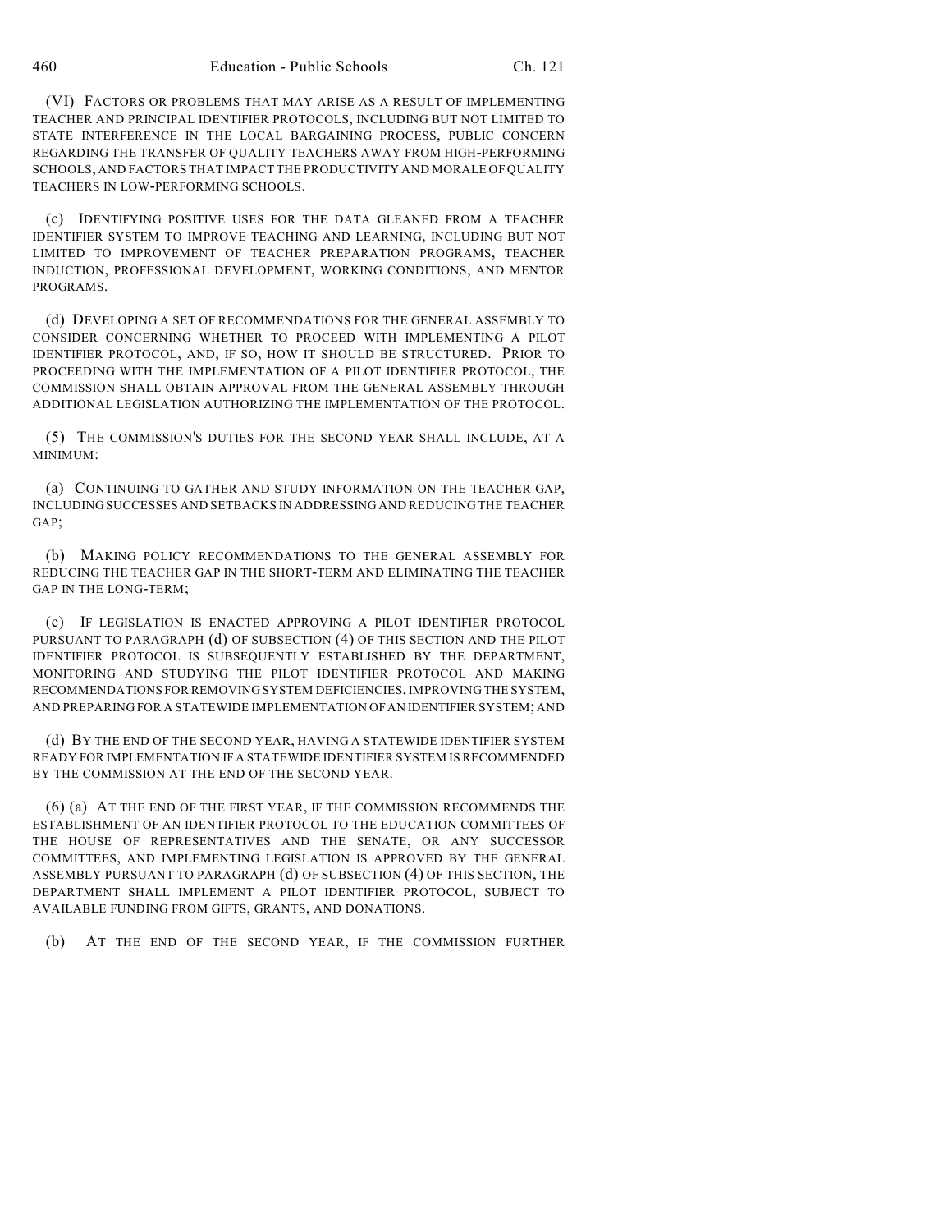(VI) FACTORS OR PROBLEMS THAT MAY ARISE AS A RESULT OF IMPLEMENTING TEACHER AND PRINCIPAL IDENTIFIER PROTOCOLS, INCLUDING BUT NOT LIMITED TO STATE INTERFERENCE IN THE LOCAL BARGAINING PROCESS, PUBLIC CONCERN REGARDING THE TRANSFER OF QUALITY TEACHERS AWAY FROM HIGH-PERFORMING SCHOOLS, AND FACTORS THAT IMPACT THE PRODUCTIVITY AND MORALE OF QUALITY TEACHERS IN LOW-PERFORMING SCHOOLS.

(c) IDENTIFYING POSITIVE USES FOR THE DATA GLEANED FROM A TEACHER IDENTIFIER SYSTEM TO IMPROVE TEACHING AND LEARNING, INCLUDING BUT NOT LIMITED TO IMPROVEMENT OF TEACHER PREPARATION PROGRAMS, TEACHER INDUCTION, PROFESSIONAL DEVELOPMENT, WORKING CONDITIONS, AND MENTOR PROGRAMS.

(d) DEVELOPING A SET OF RECOMMENDATIONS FOR THE GENERAL ASSEMBLY TO CONSIDER CONCERNING WHETHER TO PROCEED WITH IMPLEMENTING A PILOT IDENTIFIER PROTOCOL, AND, IF SO, HOW IT SHOULD BE STRUCTURED. PRIOR TO PROCEEDING WITH THE IMPLEMENTATION OF A PILOT IDENTIFIER PROTOCOL, THE COMMISSION SHALL OBTAIN APPROVAL FROM THE GENERAL ASSEMBLY THROUGH ADDITIONAL LEGISLATION AUTHORIZING THE IMPLEMENTATION OF THE PROTOCOL.

(5) THE COMMISSION'S DUTIES FOR THE SECOND YEAR SHALL INCLUDE, AT A MINIMUM:

(a) CONTINUING TO GATHER AND STUDY INFORMATION ON THE TEACHER GAP, INCLUDING SUCCESSES AND SETBACKS IN ADDRESSING AND REDUCING THE TEACHER GAP;

(b) MAKING POLICY RECOMMENDATIONS TO THE GENERAL ASSEMBLY FOR REDUCING THE TEACHER GAP IN THE SHORT-TERM AND ELIMINATING THE TEACHER GAP IN THE LONG-TERM;

(c) IF LEGISLATION IS ENACTED APPROVING A PILOT IDENTIFIER PROTOCOL PURSUANT TO PARAGRAPH (d) OF SUBSECTION (4) OF THIS SECTION AND THE PILOT IDENTIFIER PROTOCOL IS SUBSEQUENTLY ESTABLISHED BY THE DEPARTMENT, MONITORING AND STUDYING THE PILOT IDENTIFIER PROTOCOL AND MAKING RECOMMENDATIONS FOR REMOVING SYSTEM DEFICIENCIES, IMPROVING THE SYSTEM, AND PREPARING FOR A STATEWIDE IMPLEMENTATION OF AN IDENTIFIER SYSTEM; AND

(d) BY THE END OF THE SECOND YEAR, HAVING A STATEWIDE IDENTIFIER SYSTEM READY FOR IMPLEMENTATION IF A STATEWIDE IDENTIFIER SYSTEM IS RECOMMENDED BY THE COMMISSION AT THE END OF THE SECOND YEAR.

(6) (a) AT THE END OF THE FIRST YEAR, IF THE COMMISSION RECOMMENDS THE ESTABLISHMENT OF AN IDENTIFIER PROTOCOL TO THE EDUCATION COMMITTEES OF THE HOUSE OF REPRESENTATIVES AND THE SENATE, OR ANY SUCCESSOR COMMITTEES, AND IMPLEMENTING LEGISLATION IS APPROVED BY THE GENERAL ASSEMBLY PURSUANT TO PARAGRAPH (d) OF SUBSECTION (4) OF THIS SECTION, THE DEPARTMENT SHALL IMPLEMENT A PILOT IDENTIFIER PROTOCOL, SUBJECT TO AVAILABLE FUNDING FROM GIFTS, GRANTS, AND DONATIONS.

(b) AT THE END OF THE SECOND YEAR, IF THE COMMISSION FURTHER